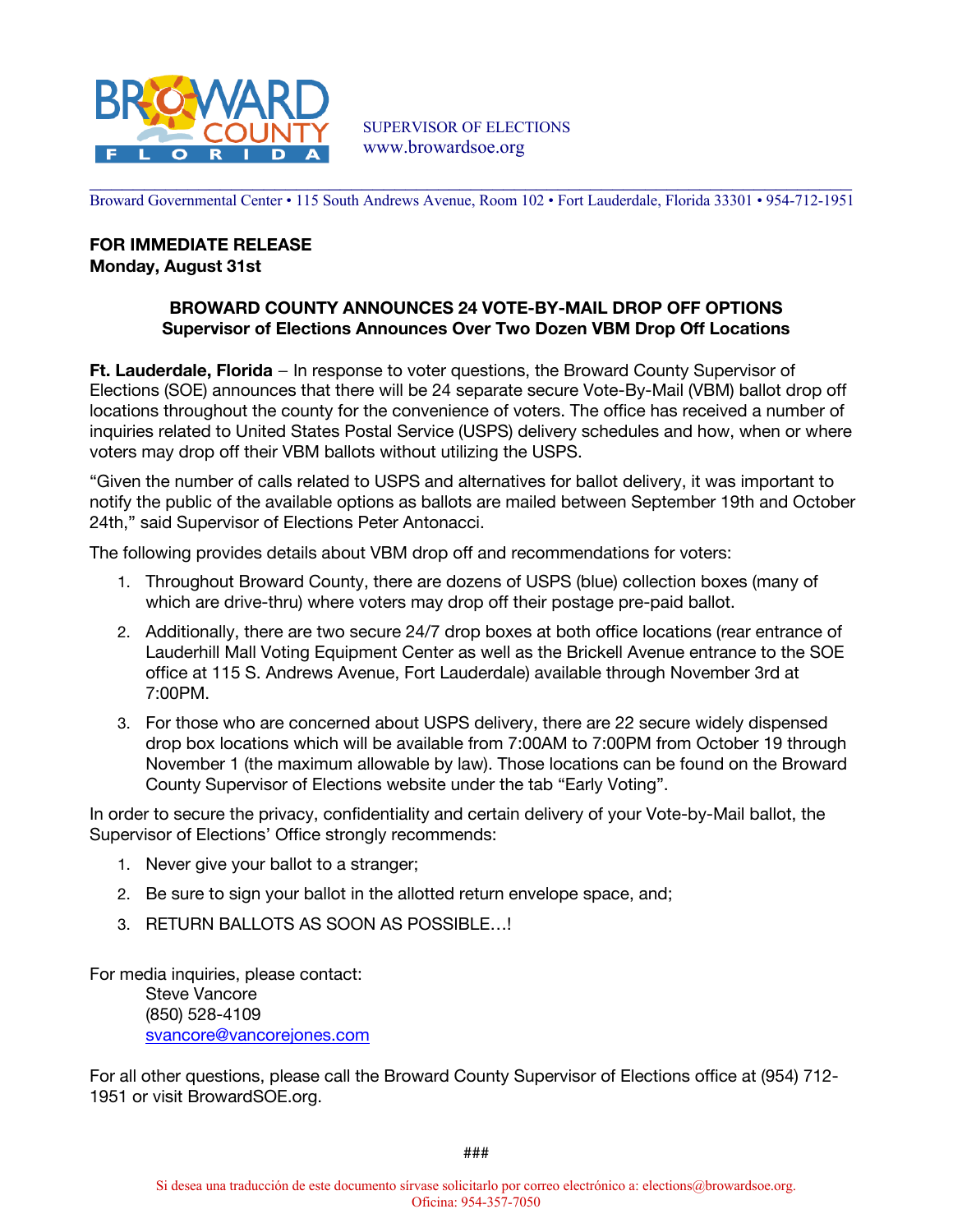

Broward Governmental Center • 115 South Andrews Avenue, Room 102 • Fort Lauderdale, Florida 33301 • 954-712-1951

## **FOR IMMEDIATE RELEASE Monday, August 31st**

## **BROWARD COUNTY ANNOUNCES 24 VOTE-BY-MAIL DROP OFF OPTIONS Supervisor of Elections Announces Over Two Dozen VBM Drop Off Locations**

Ft. Lauderdale, Florida - In response to voter questions, the Broward County Supervisor of Elections (SOE) announces that there will be 24 separate secure Vote-By-Mail (VBM) ballot drop off locations throughout the county for the convenience of voters. The office has received a number of inquiries related to United States Postal Service (USPS) delivery schedules and how, when or where voters may drop off their VBM ballots without utilizing the USPS.

"Given the number of calls related to USPS and alternatives for ballot delivery, it was important to notify the public of the available options as ballots are mailed between September 19th and October 24th," said Supervisor of Elections Peter Antonacci.

The following provides details about VBM drop off and recommendations for voters:

- 1. Throughout Broward County, there are dozens of USPS (blue) collection boxes (many of which are drive-thru) where voters may drop off their postage pre-paid ballot.
- 2. Additionally, there are two secure 24/7 drop boxes at both office locations (rear entrance of Lauderhill Mall Voting Equipment Center as well as the Brickell Avenue entrance to the SOE office at 115 S. Andrews Avenue, Fort Lauderdale) available through November 3rd at 7:00PM.
- 3. For those who are concerned about USPS delivery, there are 22 secure widely dispensed drop box locations which will be available from 7:00AM to 7:00PM from October 19 through November 1 (the maximum allowable by law). Those locations can be found on the Broward County Supervisor of Elections website under the tab "Early Voting".

In order to secure the privacy, confidentiality and certain delivery of your Vote-by-Mail ballot, the Supervisor of Elections' Office strongly recommends:

- 1. Never give your ballot to a stranger;
- 2. Be sure to sign your ballot in the allotted return envelope space, and;
- 3. RETURN BALLOTS AS SOON AS POSSIBLE...!

For media inquiries, please contact:

Steve Vancore (850) 528-4109 svancore@vancorejones.com

For all other questions, please call the Broward County Supervisor of Elections office at (954) 712-1951 or visit BrowardSOE.org.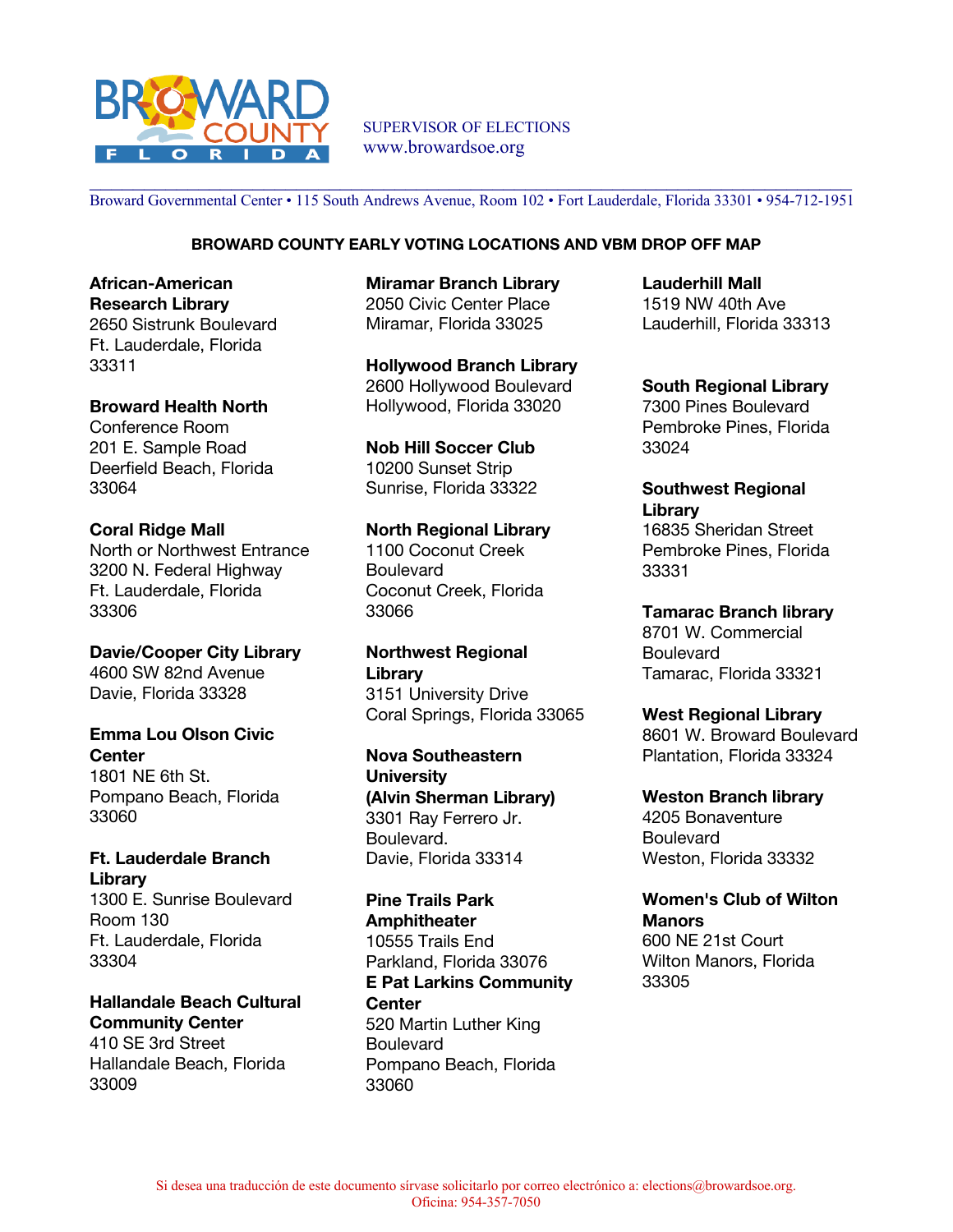

SUPERVISOR OF ELECTIONS www.browardsoe.org

Broward Governmental Center • 115 South Andrews Avenue, Room 102 • Fort Lauderdale, Florida 33301 • 954-712-1951

## **BROWARD COUNTY EARLY VOTING LOCATIONS AND VBM DROP OFF MAP**

**African-American Research Library** 2650 Sistrunk Boulevard Ft. Lauderdale, Florida 33311

**Broward Health North** Conference Room 201 E. Sample Road Deerfield Beach, Florida 33064

**Coral Ridge Mall** North or Northwest Entrance 3200 N. Federal Highway Ft. Lauderdale, Florida 33306

**Davie/Cooper City Library** 4600 SW 82nd Avenue Davie, Florida 33328

## **Emma Lou Olson Civic Center**

1801 NE 6th St. Pompano Beach, Florida 33060

**Ft. Lauderdale Branch Library** 1300 E. Sunrise Boulevard Room 130 Ft. Lauderdale, Florida 33304

**Hallandale Beach Cultural Community Center** 410 SE 3rd Street Hallandale Beach, Florida 33009

**Miramar Branch Library** 2050 Civic Center Place Miramar, Florida 33025

**Hollywood Branch Library** 2600 Hollywood Boulevard Hollywood, Florida 33020

**Nob Hill Soccer Club** 10200 Sunset Strip Sunrise, Florida 33322

**North Regional Library** 1100 Coconut Creek **Boulevard** Coconut Creek, Florida 33066

**Northwest Regional Library** 3151 University Drive Coral Springs, Florida 33065

**Nova Southeastern University (Alvin Sherman Library)** 3301 Ray Ferrero Jr. Boulevard. Davie, Florida 33314

**Pine Trails Park Amphitheater** 10555 Trails End Parkland, Florida 33076 **E Pat Larkins Community Center** 520 Martin Luther King **Boulevard** Pompano Beach, Florida 33060

**Lauderhill Mall** 1519 NW 40th Ave Lauderhill, Florida 33313

**South Regional Library** 7300 Pines Boulevard Pembroke Pines, Florida 33024

**Southwest Regional Library** 16835 Sheridan Street Pembroke Pines, Florida 33331

**Tamarac Branch library** 8701 W. Commercial Boulevard Tamarac, Florida 33321

**West Regional Library** 8601 W. Broward Boulevard Plantation, Florida 33324

**Weston Branch library** 4205 Bonaventure **Boulevard** Weston, Florida 33332

**Women's Club of Wilton Manors** 600 NE 21st Court Wilton Manors, Florida 33305